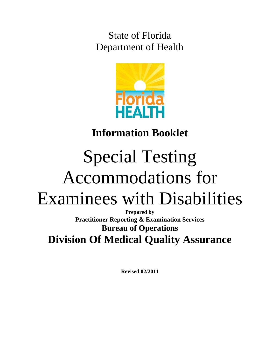State of Florida Department of Health



## **Information Booklet**

# Special Testing Accommodations for Examinees with Disabilities

**Prepared by Practitioner Reporting & Examination Services Bureau of Operations Division Of Medical Quality Assurance**

**Revised 02/2011**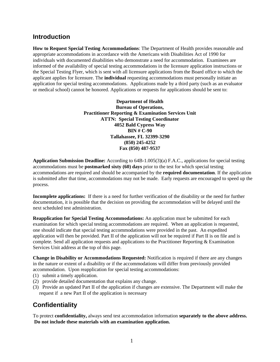## **Introduction**

**How to Request Special Testing Accommodations**: The Department of Health provides reasonable and appropriate accommodations in accordance with the Americans with Disabilities Act of 1990 for individuals with documented disabilities who demonstrate a need for accommodation. Examinees are informed of the availability of special testing accommodations in the licensure application instructions or the Special Testing Flyer, which is sent with all licensure applications from the Board office to which the applicant applies for licensure. The **individual** requesting accommodations must personally initiate an application for special testing accommodations. Applications made by a third party (such as an evaluator or medical school) cannot be honored. Applications or requests for applications should be sent to:

> **Department of Health Bureau of Operations, Practitioner Reporting & Examination Services Unit ATTN: Special Testing Coordinator 4052 Bald Cypress Way BIN # C-90 Tallahassee, FL 32399-3290 (850) 245-4252 Fax (850) 487-9537**

**Application Submission Deadline:** According to 64B-1.005(3)(a) F.A.C., applications for special testing accommodations must be **postmarked sixty (60) days** prior to the test for which special testing accommodations are required and should be accompanied by the **required documentation**. If the application is submitted after that time, accommodations may not be made. Early requests are encouraged to speed up the process.

**Incomplete applications:** If there is a need for further verification of the disability or the need for further documentation, it is possible that the decision on providing the accommodation will be delayed until the next scheduled test administration.

**Reapplication for Special Testing Accommodations:** An application must be submitted for each examination for which special testing accommodations are required. When an application is requested, one should indicate that special testing accommodations were provided in the past. An expedited application will then be provided. Part II of the application will not be required if Part II is on file and is complete. Send all application requests and applications to the Practitioner Reporting  $& Examination$ Services Unit address at the top of this page.

**Change in Disability or Accommodations Requested:** Notification is required if there are any changes in the nature or extent of a disability or if the accommodations will differ from previously provided accommodation. Upon reapplication for special testing accommodations:

- (1) submit a timely application.
- (2) provide detailed documentation that explains any change.
- (3) Provide an updated Part II of the application if changes are extensive. The Department will make the request if a new Part II of the application is necessary

## **Confidentiality**

To protect **confidentiality,** always send test accommodation information **separately to the above address. Do not include these materials with an examination application.**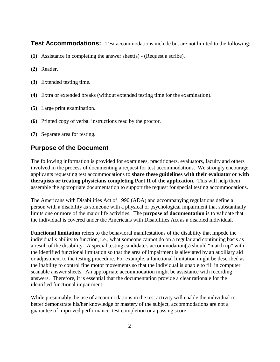**Test Accommodations:** Test accommodations include but are not limited to the following:

- **(1)** Assistance in completing the answer sheet(s) (Request a scribe).
- **(2)** Reader.
- **(3)** Extended testing time.
- **(4)** Extra or extended breaks (without extended testing time for the examination).
- **(5)** Large print examination.
- **(6)** Printed copy of verbal instructions read by the proctor.
- **(7)** Separate area for testing.

### **Purpose of the Document**

The following information is provided for examinees, practitioners, evaluators, faculty and others involved in the process of documenting a request for test accommodations. We strongly encourage applicants requesting test accommodations to **share these guidelines with their evaluator or with therapists or treating physicians completing Part II of the application.** This will help them assemble the appropriate documentation to support the request for special testing accommodations.

The Americans with Disabilities Act of 1990 (ADA) and accompanying regulations define a person with a disability as someone with a physical or psychological impairment that substantially limits one or more of the major life activities. The **purpose of documentation** is to validate that the individual is covered under the Americans with Disabilities Act as a disabled individual.

**Functional limitation** refers to the behavioral manifestations of the disability that impede the individual's ability to function, i.e., what someone cannot do on a regular and continuing basis as a result of the disability. A special testing candidate's accommodation(s) should "match up" with the identified functional limitation so that the area of impairment is alleviated by an auxiliary aid or adjustment to the testing procedure. For example, a functional limitation might be described as the inability to control fine motor movements so that the individual is unable to fill in computer scanable answer sheets. An appropriate accommodation might be assistance with recording answers. Therefore, it is essential that the documentation provide a clear rationale for the identified functional impairment.

While presumably the use of accommodations in the test activity will enable the individual to better demonstrate his/her knowledge or mastery of the subject, accommodations are not a guarantee of improved performance, test completion or a passing score.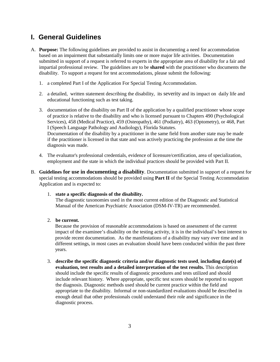## **I. General Guidelines**

- A. **Purpose:** The following guidelines are provided to assist in documenting a need for accommodation based on an impairment that substantially limits one or more major life activities. Documentation submitted in support of a request is referred to experts in the appropriate area of disability for a fair and impartial professional review. The guidelines are to be **shared** with the practitioner who documents the disability. To support a request for test accommodations, please submit the following:
	- 1. a completed Part I of the Application For Special Testing Accommodation.
	- 2. a detailed, written statement describing the disability, its severity and its impact on daily life and educational functioning such as test taking.
	- 3. documentation of the disability on Part II of the application by a qualified practitioner whose scope of practice is relative to the disability and who is licensed pursuant to Chapters 490 (Psychological Services), 458 (Medical Practice), 459 (Osteopathy), 461 (Podiatry), 463 (Optometry), or 468, Part I (Speech Language Pathology and Audiology), Florida Statutes. Documentation of the disability by a practitioner in the same field from another state may be made if the practitioner is licensed in that state and was actively practicing the profession at the time the diagnosis was made.
	- 4. The evaluator's professional credentials, evidence of licensure/certification, area of specialization, employment and the state in which the individual practices should be provided with Part II.
- B. **Guidelines for use in documenting a disability**. Documentation submitted in support of a request for special testing accommodations should be provided using **Part II** of the Special Testing Accommodation Application and is expected to:
	- 1. **state a specific diagnosis of the disability.** The diagnostic taxonomies used in the most current edition of the Diagnostic and Statistical Manual of the American Psychiatric Association (DSM-IV-TR) are recommended.
	- 2. **be current.**

Because the provision of reasonable accommodations is based on assessment of the current impact of the examinee's disability on the testing activity, it is in the individual's best interest to provide recent documentation. As the manifestations of a disability may vary over time and in different settings, in most cases an evaluation should have been conducted within the past three years.

3. **describe the specific diagnostic criteria and/or diagnostic tests used**, **including date(s) of evaluation, test results and a detailed interpretation of the test results.** This description should include the specific results of diagnostic procedures and tests utilized and should include relevant history. Where appropriate, specific test scores should be reported to support the diagnosis. Diagnostic methods used should be current practice within the field and appropriate to the disability. Informal or non-standardized evaluations should be described in enough detail that other professionals could understand their role and significance in the diagnostic process.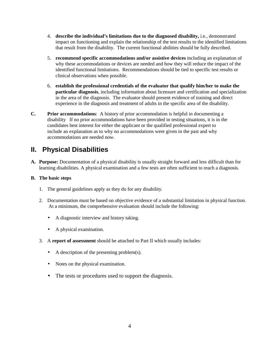- 4. **describe the individual's limitations due to the diagnosed disability,** i.e., demonstrated impact on functioning and explain the relationship of the test results to the identified limitations that result from the disability. The current functional abilities should be fully described.
- 5. **recommend specific accommodations and/or assistive devices** including an explanation of why these accommodations or devices are needed and how they will reduce the impact of the identified functional limitations. Recommendations should be tied to specific test results or clinical observations when possible.
- 6. **establish the professional credentials of the evaluator that qualify him/her to make the particular diagnosis**, including information about licensure and certification and specialization in the area of the diagnosis. The evaluator should present evidence of training and direct experience in the diagnosis and treatment of adults in the specific area of the disability.
- **C. Prior accommodations**: A history of prior accommodation is helpful in documenting a disability If no prior accommodations have been provided in testing situations, it is in the candidates best interest for either the applicant or the qualified professional expert to include an explanation as to why no accommodations were given in the past and why accommodations are needed now.

## **II. Physical Disabilities**

**A. Purpose:** Documentation of a physical disability is usually straight forward and less difficult than for learning disabilities. A physical examination and a few tests are often sufficient to reach a diagnosis.

#### **B. The basic steps**

- 1. The general guidelines apply as they do for any disability.
- 2. Documentation must be based on objective evidence of a substantial limitation in physical function. At a minimum, the comprehensive evaluation should include the following:
	- A diagnostic interview and history taking.
	- A physical examination.
- 3. A **report of assessment** should be attached to Part II which usually includes:
	- A description of the presenting problem(s).
	- Notes on the physical examination.
	- The tests or procedures used to support the diagnosis.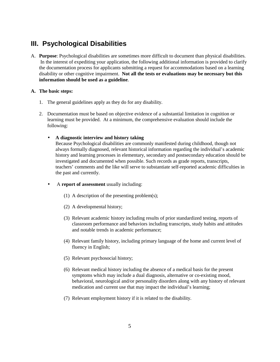## **III. Psychological Disabilities**

A. **Purpose**: Psychological disabilities are sometimes more difficult to document than physical disabilities. In the interest of expediting your application, the following additional information is provided to clarify the documentation process for applicants submitting a request for accommodations based on a learning disability or other cognitive impairment. **Not all the tests or evaluations may be necessary but this information should be used as a guideline**.

#### **A. The basic steps:**

- 1. The general guidelines apply as they do for any disability.
- 2. Documentation must be based on objective evidence of a substantial limitation in cognition or learning must be provided. At a minimum, the comprehensive evaluation should include the following:
	- **A diagnostic interview and history taking**

Because Psychological disabilities are commonly manifested during childhood, though not always formally diagnosed, relevant historical information regarding the individual's academic history and learning processes in elementary, secondary and postsecondary education should be investigated and documented when possible. Such records as grade reports, transcripts, teachers' comments and the like will serve to substantiate self-reported academic difficulties in the past and currently.

- A **report of assessment** usually including:
	- (1) A description of the presenting problem(s);
	- (2) A developmental history;
	- (3) Relevant academic history including results of prior standardized testing, reports of classroom performance and behaviors including transcripts, study habits and attitudes and notable trends in academic performance;
	- (4) Relevant family history, including primary language of the home and current level of fluency in English;
	- (5) Relevant psychosocial history;
	- (6) Relevant medical history including the absence of a medical basis for the present symptoms which may include a dual diagnosis, alternative or co-existing mood, behavioral, neurological and/or personality disorders along with any history of relevant medication and current use that may impact the individual's learning;
	- (7) Relevant employment history if it is related to the disability.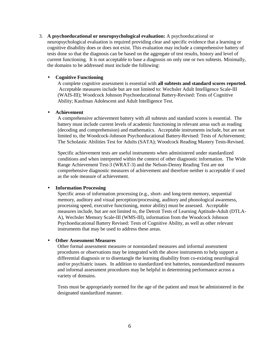3. **A psychoeducational or neuropsychological evaluation:** A psychoeducational or

neuropsychological evaluation is required providing clear and specific evidence that a learning or cognitive disability does or does not exist. This evaluation may include a comprehensive battery of tests done so that the diagnosis can be based on the aggregate of test results, history and level of current functioning. It is not acceptable to base a diagnosis on only one or two subtests. Minimally, the domains to be addressed must include the following:

#### • **Cognitive Functioning**

A complete cognitive assessment is essential with **all subtests and standard scores reported.** Acceptable measures include but are not limited to: Wechsler Adult Intelligence Scale-III (WAIS-III); Woodcock Johnson Psychoeducational Battery-Revised: Tests of Cognitive Ability; Kaufman Adolescent and Adult Intelligence Test.

#### • **Achievement**

A comprehensive achievement battery with all subtests and standard scores is essential. The battery must include current levels of academic functioning in relevant areas such as reading (decoding and comprehension) and mathematics. Acceptable instruments include, but are not limited to, the Woodcock-Johnson Psychoeducational Battery-Revised: Tests of Achievement; The Scholastic Abilities Test for Adults (SATA); Woodcock Reading Mastery Tests-Revised.

Specific achievement tests are useful instruments when administered under standardized conditions and when interpreted within the context of other diagnostic information. The Wide Range Achievement Test-3 (WRAT-3) and the Nelson-Denny Reading Test are not comprehensive diagnostic measures of achievement and therefore neither is acceptable if used as the sole measure of achievement.

#### • **Information Processing**

Specific areas of information processing (e.g., short- and long-term memory, sequential memory, auditory and visual perception/processing, auditory and phonological awareness, processing speed, executive functioning, motor ability) must be assessed. Acceptable measures include, but are not limited to, the Detroit Tests of Learning Aptitude-Adult (DTLA-A), Wechsler Memory Scale-III (WMS-III), information from the Woodcock Johnson Psychoeducational Battery Revised: Tests of Cognitive Ability, as well as other relevant instruments that may be used to address these areas.

#### • **Other Assessment Measures**

Other formal assessment measures or nonstandard measures and informal assessment procedures or observations may be integrated with the above instruments to help support a differential diagnosis or to disentangle the learning disability from co-existing neurological and/or psychiatric issues. In addition to standardized test batteries, nonstandardized measures and informal assessment procedures may be helpful in determining performance across a variety of domains.

Tests must be appropriately normed for the age of the patient and must be administered in the designated standardized manner.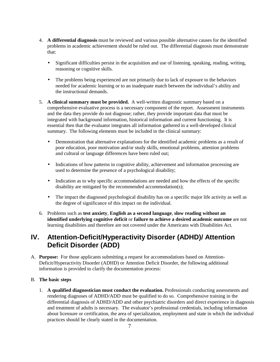- 4. **A differential diagnosis** must be reviewed and various possible alternative causes for the identified problems in academic achievement should be ruled out. The differential diagnosis must demonstrate that:
	- Significant difficulties persist in the acquisition and use of listening, speaking, reading, writing, reasoning or cognitive skills.
	- The problems being experienced are not primarily due to lack of exposure to the behaviors needed for academic learning or to an inadequate match between the individual's ability and the instructional demands.
- 5. **A clinical summary must be provided.** A well-written diagnostic summary based on a comprehensive evaluative process is a necessary component of the report. Assessment instruments and the data they provide do not diagnose; rather, they provide important data that must be integrated with background information, historical information and current functioning. It is essential then that the evaluator integrates all information gathered in a well-developed clinical summary. The following elements must be included in the clinical summary:
	- Demonstration that alternative explanations for the identified academic problems as a result of poor education, poor motivation and/or study skills, emotional problems, attention problems and cultural or language differences have been ruled out;
	- Indications of how patterns in cognitive ability, achievement and information processing are used to determine the presence of a psychological disability;
	- Indication as to why specific accommodations are needed and how the effects of the specific disability are mitigated by the recommended accommodation(s);
	- The impact the diagnosed psychological disability has on a specific major life activity as well as the degree of significance of this impact on the individual.
- 6. Problems such as **test anxiety**, **English as a second language**, **slow reading without an identified underlying cognitive deficit** or **failure to achieve a desired academic outcome** are not learning disabilities and therefore are not covered under the Americans with Disabilities Act.

## **IV. Attention-Deficit/Hyperactivity Disorder (ADHD)/ Attention Deficit Disorder (ADD)**

A. **Purpose:** For those applicants submitting a request for accommodations based on Attention-Deficit/Hyperactivity Disorder (ADHD) or Attention Deficit Disorder, the following additional information is provided to clarify the documentation process:

#### B. **The basic steps**

1. **A qualified diagnostician must conduct the evaluation.** Professionals conducting assessments and rendering diagnoses of ADHD/ADD must be qualified to do so. Comprehensive training in the differential diagnosis of ADHD/ADD and other psychiatric disorders and direct experience in diagnosis and treatment of adults is necessary. The evaluator's professional credentials, including information about licensure or certification, the area of specialization, employment and state in which the individual practices should be clearly stated in the documentation.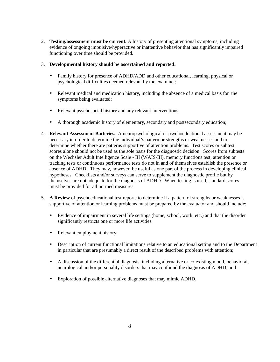2. **Testing/assessment must be current.** A history of presenting attentional symptoms, including evidence of ongoing impulsive/hyperactive or inattentive behavior that has significantly impaired functioning over time should be provided.

#### 3. **Developmental history should be ascertained and reported:**

- Family history for presence of ADHD/ADD and other educational, learning, physical or psychological difficulties deemed relevant by the examiner;
- Relevant medical and medication history, including the absence of a medical basis for the symptoms being evaluated;
- Relevant psychosocial history and any relevant interventions;
- A thorough academic history of elementary, secondary and postsecondary education;
- 4. **Relevant Assessment Batteries.** A neuropsychological or psychoeduational assessment may be necessary in order to determine the individual's pattern or strengths or weaknesses and to determine whether there are patterns supportive of attention problems. Test scores or subtest scores alone should not be used as the sole basis for the diagnostic decision. Scores from subtests on the Wechsler Adult Intelligence Scale - III (WAIS-III), memory functions test, attention or tracking tests or continuous performance tests do not in and of themselves establish the presence or absence of ADHD. They may, however, be useful as one part of the process in developing clinical hypotheses. Checklists and/or surveys can serve to supplement the diagnostic profile but by themselves are not adequate for the diagnosis of ADHD. When testing is used, standard scores must be provided for all normed measures.
- 5. **A Review** of psychoeducational test reports to determine if a pattern of strengths or weaknesses is supportive of attention or learning problems must be prepared by the evaluator and should include:
	- Evidence of impairment in several life settings (home, school, work, etc.) and that the disorder significantly restricts one or more life activities.
	- Relevant employment history;
	- Description of current functional limitations relative to an educational setting and to the Department in particular that are presumably a direct result of the described problems with attention;
	- A discussion of the differential diagnosis, including alternative or co-existing mood, behavioral, neurological and/or personality disorders that may confound the diagnosis of ADHD; and
	- Exploration of possible alternative diagnoses that may mimic ADHD.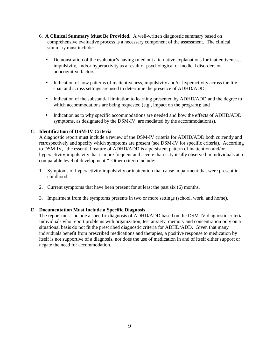- 6. **A Clinical Summary Must Be Provided.** A well-written diagnostic summary based on comprehensive evaluative process is a necessary component of the assessment. The clinical summary must include:
	- Demonstration of the evaluator's having ruled out alternative explanations for inattentiveness, impulsivity, and/or hyperactivity as a result of psychological or medical disorders or noncognitive factors;
	- Indication of how patterns of inattentiveness, impulsivity and/or hyperactivity across the life span and across settings are used to determine the presence of ADHD/ADD;
	- Indication of the substantial limitation to learning presented by ADHD/ADD and the degree to which accommodations are being requested (e.g., impact on the program); and
	- Indication as to why specific accommodations are needed and how the effects of ADHD/ADD symptoms, as designated by the DSM-IV, are mediated by the accommodation(s).

#### C. **Identification of DSM-IV Criteria**

A diagnostic report must include a review of the DSM-IV criteria for ADHD/ADD both currently and retrospectively and specify which symptoms are present (see DSM-IV for specific criteria). According to DSM-IV, "the essential feature of ADHD/ADD is a persistent pattern of inattention and/or hyperactivity-impulsivity that is more frequent and severe than is typically observed in individuals at a comparable level of development." Other criteria include:

- 1. Symptoms of hyperactivity-impulsivity or inattention that cause impairment that were present in childhood.
- 2. Current symptoms that have been present for at least the past six (6) months.
- 3. Impairment from the symptoms presents in two or more settings (school, work, and home).

#### D. **Documentation Must Include a Specific Diagnosis**

The report must include a specific diagnosis of ADHD/ADD based on the DSM-IV diagnostic criteria. Individuals who report problems with organization, test anxiety, memory and concentration only on a situational basis do not fit the prescribed diagnostic criteria for ADHD/ADD. Given that many individuals benefit from prescribed medications and therapies, a positive response to medication by itself is not supportive of a diagnosis, nor does the use of medication in and of itself either support or negate the need for accommodation.